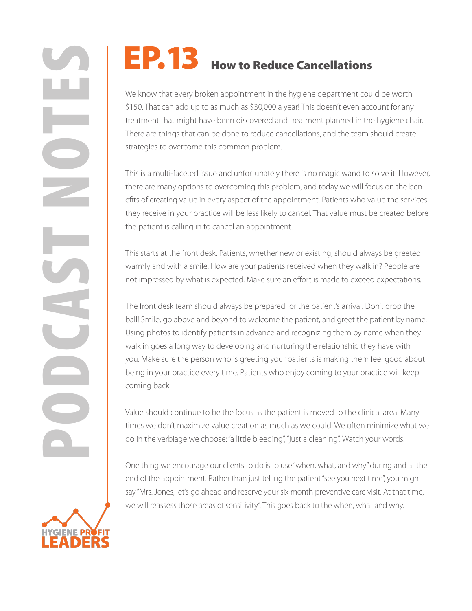We know that every broken appointment in the hygiene department could be worth \$150. That can add up to as much as \$30,000 a year! This doesn't even account for any treatment that might have been discovered and treatment planned in the hygiene chair. There are things that can be done to reduce cancellations, and the team should create strategies to overcome this common problem.

This is a multi-faceted issue and unfortunately there is no magic wand to solve it. However, there are many options to overcoming this problem, and today we will focus on the benefits of creating value in every aspect of the appointment. Patients who value the services they receive in your practice will be less likely to cancel. That value must be created before the patient is calling in to cancel an appointment.

This starts at the front desk. Patients, whether new or existing, should always be greeted warmly and with a smile. How are your patients received when they walk in? People are not impressed by what is expected. Make sure an effort is made to exceed expectations.

**PORTIVES** How to Reduce Cancellations<br>
We know that every broken appointment in the hygiene department course.<br>
USE: That can add up to as much as \$30,000 a year! This doesn't even act<br>
there are things that can be done t The front desk team should always be prepared for the patient's arrival. Don't drop the ball! Smile, go above and beyond to welcome the patient, and greet the patient by name. Using photos to identify patients in advance and recognizing them by name when they walk in goes a long way to developing and nurturing the relationship they have with you. Make sure the person who is greeting your patients is making them feel good about being in your practice every time. Patients who enjoy coming to your practice will keep coming back.

Value should continue to be the focus as the patient is moved to the clinical area. Many times we don't maximize value creation as much as we could. We often minimize what we do in the verbiage we choose: "a little bleeding", "just a cleaning". Watch your words.

One thing we encourage our clients to do is to use "when, what, and why" during and at the end of the appointment. Rather than just telling the patient "see you next time", you might say "Mrs. Jones, let's go ahead and reserve your six month preventive care visit. At that time, we will reassess those areas of sensitivity". This goes back to the when, what and why.